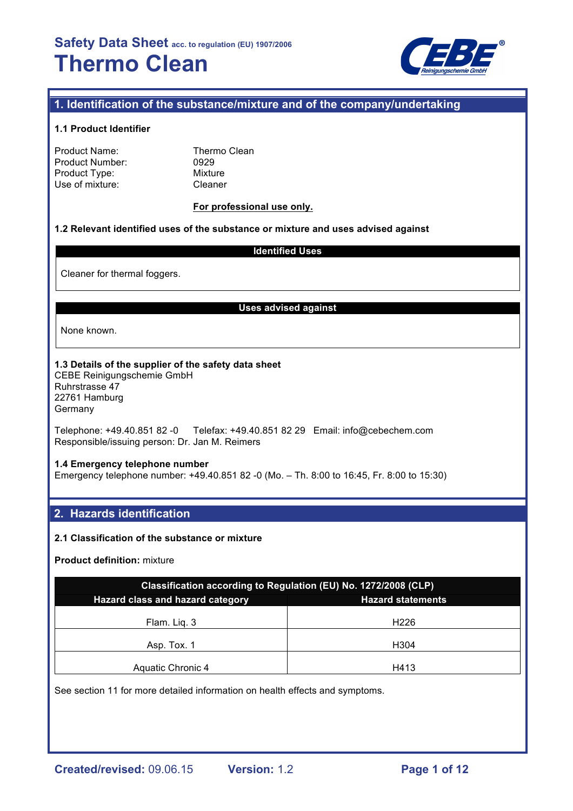

## **1. Identification of the substance/mixture and of the company/undertaking**

#### **1.1 Product Identifier**

| Product Name:   |
|-----------------|
| Product Number: |
| Product Type:   |
| Use of mixture: |

Thermo Clean 0929 **Mixture** Cleaner

#### **For professional use only.**

#### **1.2 Relevant identified uses of the substance or mixture and uses advised against**

#### **Identified Uses**

Cleaner for thermal foggers.

#### **Uses advised against**

None known.

#### **1.3 Details of the supplier of the safety data sheet**

CEBE Reinigungschemie GmbH Ruhrstrasse 47 22761 Hamburg **Germany** 

Telephone: +49.40.851 82 -0 Telefax: +49.40.851 82 29 Email: info@cebechem.com Responsible/issuing person: Dr. Jan M. Reimers

#### **1.4 Emergency telephone number**

Emergency telephone number: +49.40.851 82 -0 (Mo. – Th. 8:00 to 16:45, Fr. 8:00 to 15:30)

## **2. Hazards identification**

#### **2.1 Classification of the substance or mixture**

#### **Product definition:** mixture

| Classification according to Regulation (EU) No. 1272/2008 (CLP) |                          |  |  |  |
|-----------------------------------------------------------------|--------------------------|--|--|--|
| Hazard class and hazard category                                | <b>Hazard statements</b> |  |  |  |
| Flam. Lig. 3                                                    | H <sub>226</sub>         |  |  |  |
| Asp. Tox. 1                                                     | H304                     |  |  |  |
| Aquatic Chronic 4                                               | H413                     |  |  |  |

See section 11 for more detailed information on health effects and symptoms.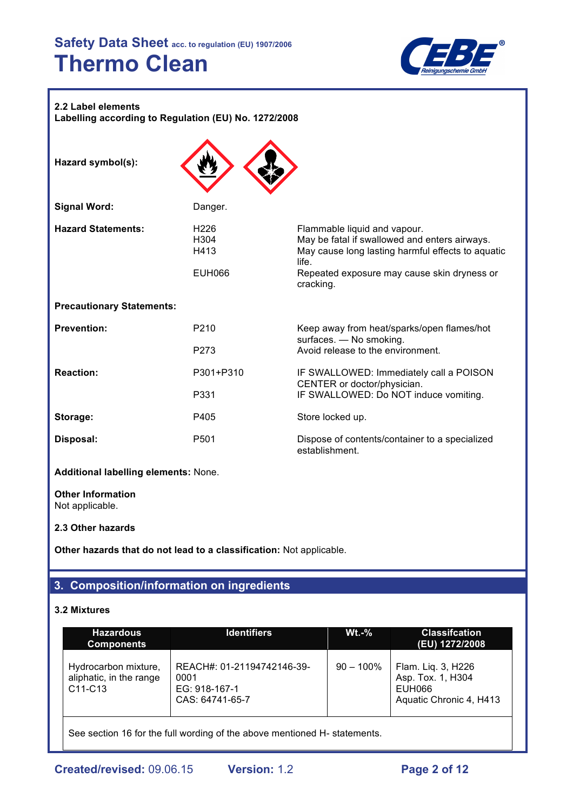

#### **2.2 Label elements**

**Labelling according to Regulation (EU) No. 1272/2008**

| Hazard symbol(s):                           |                                                   |                                                                                                                                                                                                         |
|---------------------------------------------|---------------------------------------------------|---------------------------------------------------------------------------------------------------------------------------------------------------------------------------------------------------------|
| <b>Signal Word:</b>                         | Danger.                                           |                                                                                                                                                                                                         |
| <b>Hazard Statements:</b>                   | H <sub>226</sub><br>H304<br>H413<br><b>EUH066</b> | Flammable liquid and vapour.<br>May be fatal if swallowed and enters airways.<br>May cause long lasting harmful effects to aquatic<br>life.<br>Repeated exposure may cause skin dryness or<br>cracking. |
| <b>Precautionary Statements:</b>            |                                                   |                                                                                                                                                                                                         |
| <b>Prevention:</b>                          | P <sub>210</sub><br>P <sub>273</sub>              | Keep away from heat/sparks/open flames/hot<br>surfaces. - No smoking.<br>Avoid release to the environment.                                                                                              |
| <b>Reaction:</b>                            | P301+P310<br>P331                                 | IF SWALLOWED: Immediately call a POISON<br>CENTER or doctor/physician.<br>IF SWALLOWED: Do NOT induce vomiting.                                                                                         |
| Storage:                                    | P405                                              | Store locked up.                                                                                                                                                                                        |
| Disposal:                                   | P <sub>501</sub>                                  | Dispose of contents/container to a specialized<br>establishment.                                                                                                                                        |
| Additional labelling elements: None.        |                                                   |                                                                                                                                                                                                         |
| <b>Other Information</b><br>Not applicable. |                                                   |                                                                                                                                                                                                         |

#### **2.3 Other hazards**

**Other hazards that do not lead to a classification:** Not applicable.

## **3. Composition/information on ingredients**

## **3.2 Mixtures**

| <b>Hazardous</b><br><b>Components</b>                                     | <b>Identifiers</b>                                                     | $Wt.-%$      | <b>Classifcation</b><br>(EU) 1272/2008                                       |  |  |
|---------------------------------------------------------------------------|------------------------------------------------------------------------|--------------|------------------------------------------------------------------------------|--|--|
| Hydrocarbon mixture,<br>aliphatic, in the range<br>C11-C13                | REACH#: 01-21194742146-39-<br>0001<br>EG: 918-167-1<br>CAS: 64741-65-7 | $90 - 100\%$ | Flam. Liq. 3, H226<br>Asp. Tox. 1, H304<br>EUH066<br>Aquatic Chronic 4, H413 |  |  |
| See section 16 for the full wording of the above mentioned H- statements. |                                                                        |              |                                                                              |  |  |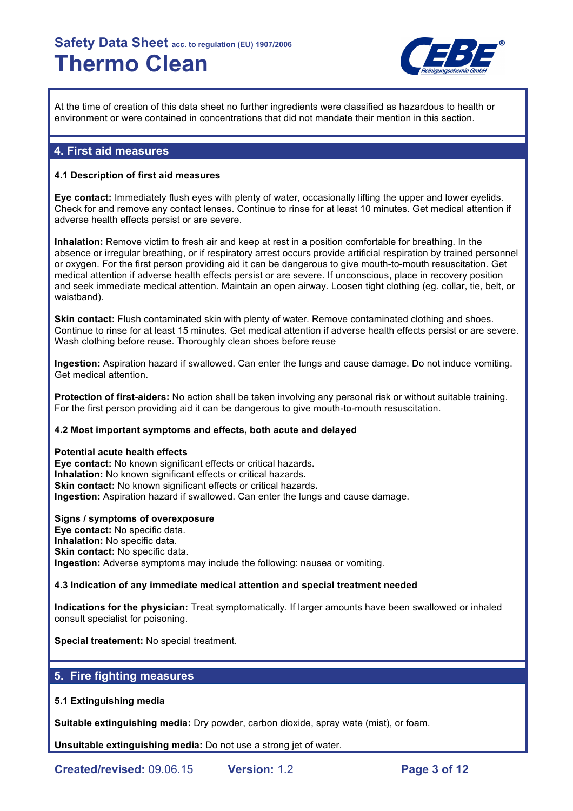

At the time of creation of this data sheet no further ingredients were classified as hazardous to health or environment or were contained in concentrations that did not mandate their mention in this section.

## **4. First aid measures**

#### **4.1 Description of first aid measures**

**Eye contact:** Immediately flush eyes with plenty of water, occasionally lifting the upper and lower eyelids. Check for and remove any contact lenses. Continue to rinse for at least 10 minutes. Get medical attention if adverse health effects persist or are severe.

**Inhalation:** Remove victim to fresh air and keep at rest in a position comfortable for breathing. In the absence or irregular breathing, or if respiratory arrest occurs provide artificial respiration by trained personnel or oxygen. For the first person providing aid it can be dangerous to give mouth-to-mouth resuscitation. Get medical attention if adverse health effects persist or are severe. If unconscious, place in recovery position and seek immediate medical attention. Maintain an open airway. Loosen tight clothing (eg. collar, tie, belt, or waistband).

**Skin contact:** Flush contaminated skin with plenty of water. Remove contaminated clothing and shoes. Continue to rinse for at least 15 minutes. Get medical attention if adverse health effects persist or are severe. Wash clothing before reuse. Thoroughly clean shoes before reuse

**Ingestion:** Aspiration hazard if swallowed. Can enter the lungs and cause damage. Do not induce vomiting. Get medical attention.

**Protection of first-aiders:** No action shall be taken involving any personal risk or without suitable training. For the first person providing aid it can be dangerous to give mouth-to-mouth resuscitation.

#### **4.2 Most important symptoms and effects, both acute and delayed**

#### **Potential acute health effects**

**Eye contact:** No known significant effects or critical hazards**. Inhalation:** No known significant effects or critical hazards**. Skin contact:** No known significant effects or critical hazards**. Ingestion:** Aspiration hazard if swallowed. Can enter the lungs and cause damage.

#### **Signs / symptoms of overexposure**

**Eye contact:** No specific data. **Inhalation:** No specific data. **Skin contact: No specific data. Ingestion:** Adverse symptoms may include the following: nausea or vomiting.

#### **4.3 Indication of any immediate medical attention and special treatment needed**

**Indications for the physician:** Treat symptomatically. If larger amounts have been swallowed or inhaled consult specialist for poisoning.

**Special treatement:** No special treatment.

## **5. Fire fighting measures**

#### **5.1 Extinguishing media**

**Suitable extinguishing media:** Dry powder, carbon dioxide, spray wate (mist), or foam.

**Unsuitable extinguishing media:** Do not use a strong jet of water.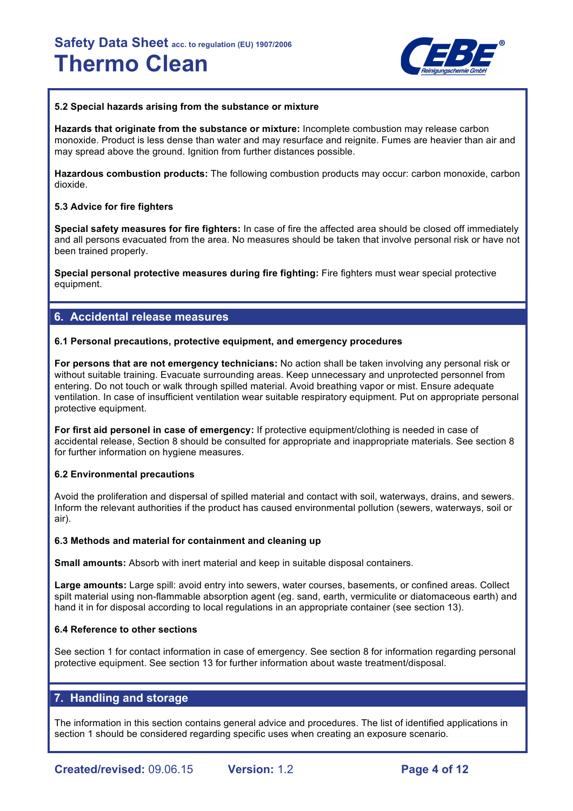

#### **5.2 Special hazards arising from the substance or mixture**

**Hazards that originate from the substance or mixture:** Incomplete combustion may release carbon monoxide. Product is less dense than water and may resurface and reignite. Fumes are heavier than air and may spread above the ground. Ignition from further distances possible.

**Hazardous combustion products:** The following combustion products may occur: carbon monoxide, carbon dioxide.

#### **5.3 Advice for fire fighters**

**Special safety measures for fire fighters:** In case of fire the affected area should be closed off immediately and all persons evacuated from the area. No measures should be taken that involve personal risk or have not been trained properly.

**Special personal protective measures during fire fighting:** Fire fighters must wear special protective equipment.

## **6. Accidental release measures**

#### **6.1 Personal precautions, protective equipment, and emergency procedures**

**For persons that are not emergency technicians:** No action shall be taken involving any personal risk or without suitable training. Evacuate surrounding areas. Keep unnecessary and unprotected personnel from entering. Do not touch or walk through spilled material. Avoid breathing vapor or mist. Ensure adequate ventilation. In case of insufficient ventilation wear suitable respiratory equipment. Put on appropriate personal protective equipment.

**For first aid personel in case of emergency:** If protective equipment/clothing is needed in case of accidental release, Section 8 should be consulted for appropriate and inappropriate materials. See section 8 for further information on hygiene measures.

#### **6.2 Environmental precautions**

Avoid the proliferation and dispersal of spilled material and contact with soil, waterways, drains, and sewers. Inform the relevant authorities if the product has caused environmental pollution (sewers, waterways, soil or air).

#### **6.3 Methods and material for containment and cleaning up**

**Small amounts:** Absorb with inert material and keep in suitable disposal containers.

**Large amounts:** Large spill: avoid entry into sewers, water courses, basements, or confined areas. Collect spilt material using non-flammable absorption agent (eg. sand, earth, vermiculite or diatomaceous earth) and hand it in for disposal according to local regulations in an appropriate container (see section 13).

#### **6.4 Reference to other sections**

See section 1 for contact information in case of emergency. See section 8 for information regarding personal protective equipment. See section 13 for further information about waste treatment/disposal.

## **7. Handling and storage**

The information in this section contains general advice and procedures. The list of identified applications in section 1 should be considered regarding specific uses when creating an exposure scenario.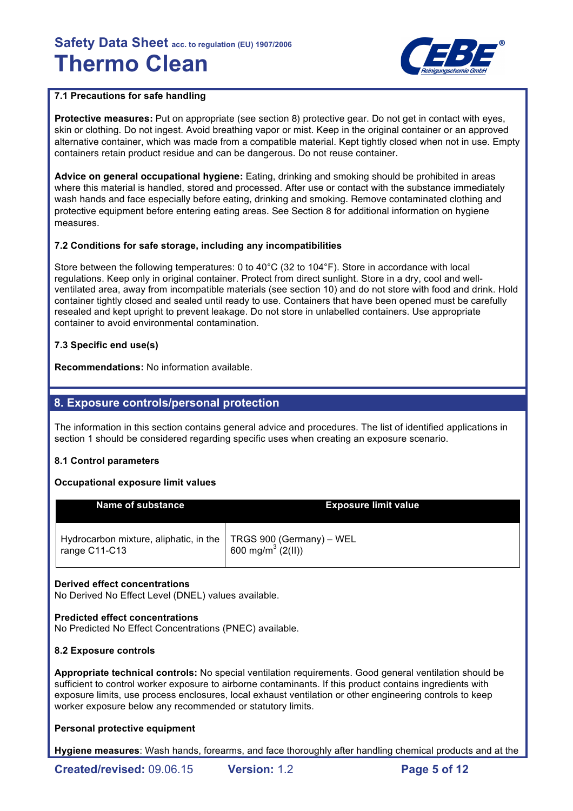

## **7.1 Precautions for safe handling**

**Protective measures:** Put on appropriate (see section 8) protective gear. Do not get in contact with eyes, skin or clothing. Do not ingest. Avoid breathing vapor or mist. Keep in the original container or an approved alternative container, which was made from a compatible material. Kept tightly closed when not in use. Empty containers retain product residue and can be dangerous. Do not reuse container.

**Advice on general occupational hygiene:** Eating, drinking and smoking should be prohibited in areas where this material is handled, stored and processed. After use or contact with the substance immediately wash hands and face especially before eating, drinking and smoking. Remove contaminated clothing and protective equipment before entering eating areas. See Section 8 for additional information on hygiene measures.

## **7.2 Conditions for safe storage, including any incompatibilities**

Store between the following temperatures: 0 to 40°C (32 to 104°F). Store in accordance with local regulations. Keep only in original container. Protect from direct sunlight. Store in a dry, cool and wellventilated area, away from incompatible materials (see section 10) and do not store with food and drink. Hold container tightly closed and sealed until ready to use. Containers that have been opened must be carefully resealed and kept upright to prevent leakage. Do not store in unlabelled containers. Use appropriate container to avoid environmental contamination.

## **7.3 Specific end use(s)**

**Recommendations:** No information available.

## **8. Exposure controls/personal protection**

The information in this section contains general advice and procedures. The list of identified applications in section 1 should be considered regarding specific uses when creating an exposure scenario.

## **8.1 Control parameters**

## **Occupational exposure limit values**

| Name of substance                                         | <b>Exposure limit value</b>                               |
|-----------------------------------------------------------|-----------------------------------------------------------|
| Hydrocarbon mixture, aliphatic, in the  <br>range C11-C13 | TRGS 900 (Germany) – WEL<br>600 mg/m <sup>3</sup> (2(II)) |

## **Derived effect concentrations**

No Derived No Effect Level (DNEL) values available.

## **Predicted effect concentrations**

No Predicted No Effect Concentrations (PNEC) available.

## **8.2 Exposure controls**

**Appropriate technical controls:** No special ventilation requirements. Good general ventilation should be sufficient to control worker exposure to airborne contaminants. If this product contains ingredients with exposure limits, use process enclosures, local exhaust ventilation or other engineering controls to keep worker exposure below any recommended or statutory limits.

## **Personal protective equipment**

**Hygiene measures**: Wash hands, forearms, and face thoroughly after handling chemical products and at the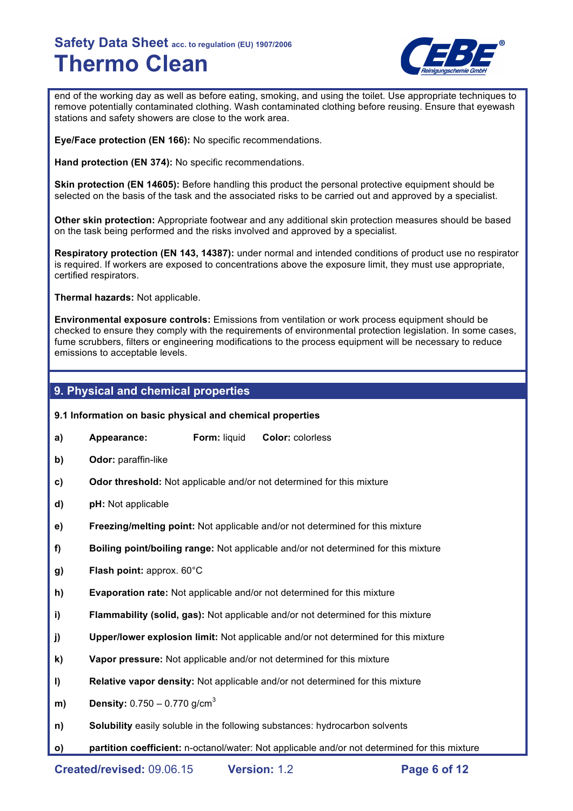

end of the working day as well as before eating, smoking, and using the toilet. Use appropriate techniques to remove potentially contaminated clothing. Wash contaminated clothing before reusing. Ensure that eyewash stations and safety showers are close to the work area.

**Eye/Face protection (EN 166):** No specific recommendations.

**Hand protection (EN 374):** No specific recommendations.

**Skin protection (EN 14605):** Before handling this product the personal protective equipment should be selected on the basis of the task and the associated risks to be carried out and approved by a specialist.

**Other skin protection:** Appropriate footwear and any additional skin protection measures should be based on the task being performed and the risks involved and approved by a specialist.

**Respiratory protection (EN 143, 14387):** under normal and intended conditions of product use no respirator is required. If workers are exposed to concentrations above the exposure limit, they must use appropriate, certified respirators.

**Thermal hazards:** Not applicable.

**Environmental exposure controls:** Emissions from ventilation or work process equipment should be checked to ensure they comply with the requirements of environmental protection legislation. In some cases, fume scrubbers, filters or engineering modifications to the process equipment will be necessary to reduce emissions to acceptable levels.

## **9. Physical and chemical properties**

**9.1 Information on basic physical and chemical properties** 

- **a) Appearance: Form:** liquid **Color:** colorless
- **b) Odor:** paraffin-like
- **c) Odor threshold:** Not applicable and/or not determined for this mixture
- **d) pH:** Not applicable
- **e) Freezing/melting point:** Not applicable and/or not determined for this mixture
- **f) Boiling point/boiling range:** Not applicable and/or not determined for this mixture
- **g) Flash point:** approx. 60°C
- **h) Evaporation rate:** Not applicable and/or not determined for this mixture
- **i) Flammability (solid, gas):** Not applicable and/or not determined for this mixture
- **j) Upper/lower explosion limit:** Not applicable and/or not determined for this mixture
- **k) Vapor pressure:** Not applicable and/or not determined for this mixture
- **l) Relative vapor density:** Not applicable and/or not determined for this mixture
- **m) Density:** 0.750 0.770 g/cm<sup>3</sup>
- **n) Solubility** easily soluble in the following substances: hydrocarbon solvents
- **o) partition coefficient:** n-octanol/water: Not applicable and/or not determined for this mixture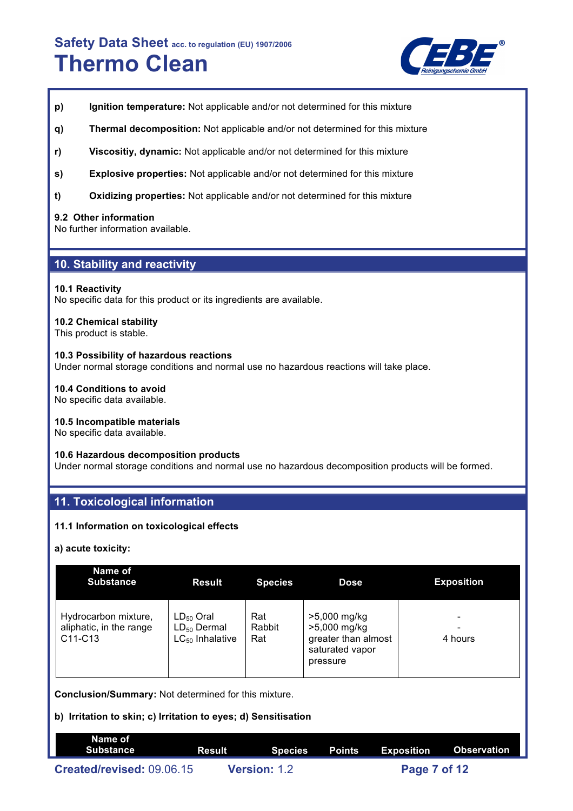

- **p) Ignition temperature:** Not applicable and/or not determined for this mixture
- **q) Thermal decomposition:** Not applicable and/or not determined for this mixture
- **r) Viscositiy, dynamic:** Not applicable and/or not determined for this mixture
- **s) Explosive properties:** Not applicable and/or not determined for this mixture
- **t) Oxidizing properties:** Not applicable and/or not determined for this mixture

#### **9.2 Other information**

No further information available.

## **10. Stability and reactivity**

#### **10.1 Reactivity**

No specific data for this product or its ingredients are available.

## **10.2 Chemical stability**

This product is stable.

#### **10.3 Possibility of hazardous reactions**

Under normal storage conditions and normal use no hazardous reactions will take place.

## **10.4 Conditions to avoid**

No specific data available.

#### **10.5 Incompatible materials**

No specific data available.

#### **10.6 Hazardous decomposition products**

Under normal storage conditions and normal use no hazardous decomposition products will be formed.

## **11. Toxicological information**

#### **11.1 Information on toxicological effects**

#### **a) acute toxicity:**

| Name of<br><b>Substance</b>                                | <b>Result</b>                                              | <b>Species</b>       | <b>Dose</b>                                                                        | <b>Exposition</b> |
|------------------------------------------------------------|------------------------------------------------------------|----------------------|------------------------------------------------------------------------------------|-------------------|
| Hydrocarbon mixture,<br>aliphatic, in the range<br>C11-C13 | $LD_{50}$ Oral<br>$LD_{50}$ Dermal<br>$LC_{50}$ Inhalative | Rat<br>Rabbit<br>Rat | >5,000 mg/kg<br>>5,000 mg/kg<br>greater than almost<br>saturated vapor<br>pressure | 4 hours           |

**Conclusion/Summary:** Not determined for this mixture.

## **b) Irritation to skin; c) Irritation to eyes; d) Sensitisation**

| Name of<br>Substance      | ' Result i          |  | Species Points Exposition Observation |  |
|---------------------------|---------------------|--|---------------------------------------|--|
| Created/revised: 09.06.15 | <b>Version: 1.2</b> |  | Page 7 of 12                          |  |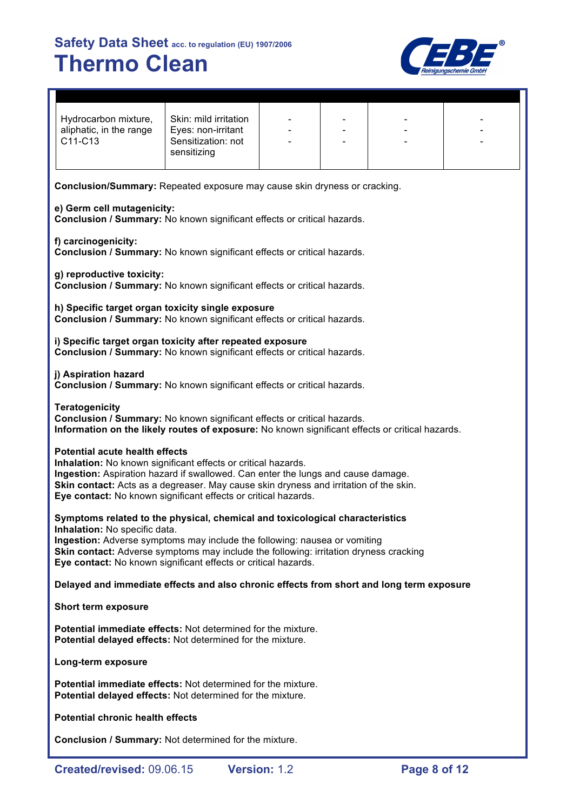

| Hydrocarbon mixture,<br>aliphatic, in the range<br>C11-C13 | Skin: mild irritation<br>Eyes: non-irritant<br>Sensitization: not<br>sensitizing | -<br>$\qquad \qquad \blacksquare$ |  |  |  |
|------------------------------------------------------------|----------------------------------------------------------------------------------|-----------------------------------|--|--|--|
|------------------------------------------------------------|----------------------------------------------------------------------------------|-----------------------------------|--|--|--|

**Conclusion/Summary:** Repeated exposure may cause skin dryness or cracking.

#### **e) Germ cell mutagenicity:**

**Conclusion / Summary:** No known significant effects or critical hazards.

#### **f) carcinogenicity:**

**Conclusion / Summary:** No known significant effects or critical hazards.

**g) reproductive toxicity: Conclusion / Summary:** No known significant effects or critical hazards.

**h) Specific target organ toxicity single exposure Conclusion / Summary:** No known significant effects or critical hazards.

**i) Specific target organ toxicity after repeated exposure Conclusion / Summary:** No known significant effects or critical hazards.

#### **j) Aspiration hazard**

**Conclusion / Summary:** No known significant effects or critical hazards.

**Teratogenicity Conclusion / Summary:** No known significant effects or critical hazards. **Information on the likely routes of exposure:** No known significant effects or critical hazards.

## **Potential acute health effects**

**Inhalation:** No known significant effects or critical hazards. **Ingestion:** Aspiration hazard if swallowed. Can enter the lungs and cause damage. **Skin contact:** Acts as a degreaser. May cause skin dryness and irritation of the skin. **Eye contact:** No known significant effects or critical hazards.

**Symptoms related to the physical, chemical and toxicological characteristics Inhalation:** No specific data.

**Ingestion:** Adverse symptoms may include the following: nausea or vomiting **Skin contact:** Adverse symptoms may include the following: irritation dryness cracking **Eye contact:** No known significant effects or critical hazards.

## **Delayed and immediate effects and also chronic effects from short and long term exposure**

**Short term exposure**

**Potential immediate effects:** Not determined for the mixture. **Potential delayed effects:** Not determined for the mixture.

**Long-term exposure**

**Potential immediate effects:** Not determined for the mixture. **Potential delayed effects:** Not determined for the mixture.

**Potential chronic health effects**

**Conclusion / Summary:** Not determined for the mixture.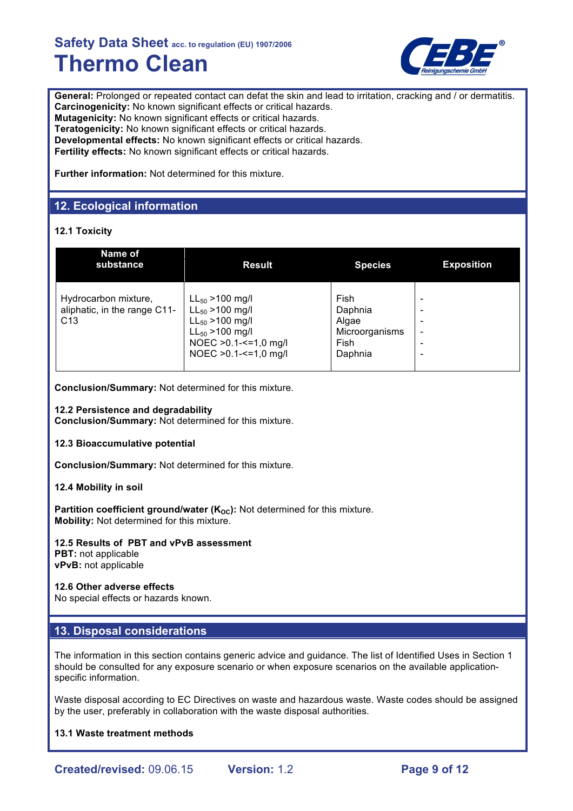

General: Prolonged or repeated contact can defat the skin and lead to irritation, cracking and / or dermatitis. **Carcinogenicity:** No known significant effects or critical hazards. **Mutagenicity:** No known significant effects or critical hazards. **Teratogenicity:** No known significant effects or critical hazards. **Developmental effects:** No known significant effects or critical hazards. **Fertility effects:** No known significant effects or critical hazards.

**Further information:** Not determined for this mixture.

## **12. Ecological information**

## **12.1 Toxicity**

| Name of<br>substance                                                    | <b>Result</b>                                                                                                                                        | <b>Species</b>                                                | <b>Exposition</b> |
|-------------------------------------------------------------------------|------------------------------------------------------------------------------------------------------------------------------------------------------|---------------------------------------------------------------|-------------------|
| Hydrocarbon mixture,<br>aliphatic, in the range C11-<br>C <sub>13</sub> | $LL_{50} > 100$ mg/l<br>$LL_{50} > 100$ mg/l<br>$LL_{50} > 100$ mg/l<br>$LL_{50} > 100$ mg/l<br>NOEC > 0.1 - <= 1,0 mg/l<br>NOEC > 0.1 - <= 1,0 mg/l | Fish<br>Daphnia<br>Algae<br>Microorganisms<br>Fish<br>Daphnia |                   |

**Conclusion/Summary:** Not determined for this mixture.

**12.2 Persistence and degradability**

**Conclusion/Summary:** Not determined for this mixture.

#### **12.3 Bioaccumulative potential**

**Conclusion/Summary:** Not determined for this mixture.

## **12.4 Mobility in soil**

**Partition coefficient ground/water (K<sub>OC</sub>):** Not determined for this mixture. **Mobility:** Not determined for this mixture.

## **12.5 Results of PBT and vPvB assessment**

**PBT:** not applicable **vPvB:** not applicable

## **12.6 Other adverse effects**

No special effects or hazards known.

## **13. Disposal considerations**

The information in this section contains generic advice and guidance. The list of Identified Uses in Section 1 should be consulted for any exposure scenario or when exposure scenarios on the available applicationspecific information.

Waste disposal according to EC Directives on waste and hazardous waste. Waste codes should be assigned by the user, preferably in collaboration with the waste disposal authorities.

## **13.1 Waste treatment methods**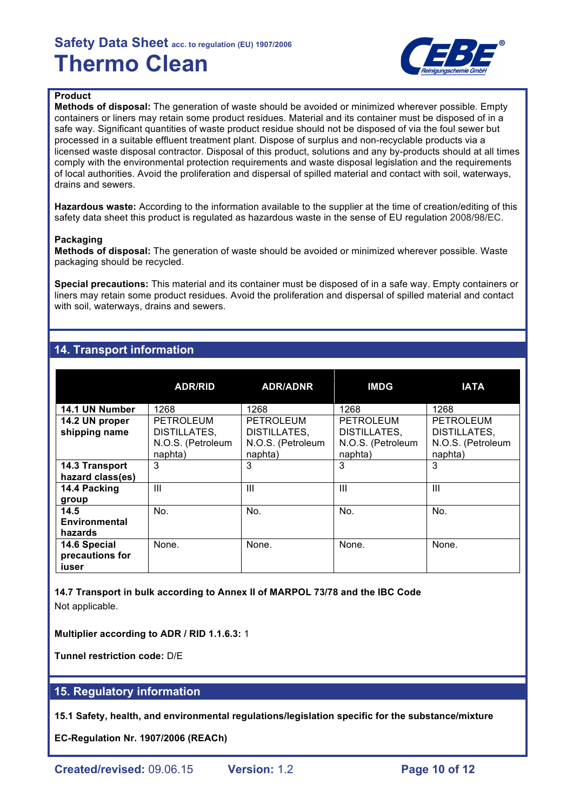

## **Product**

**Methods of disposal:** The generation of waste should be avoided or minimized wherever possible. Empty containers or liners may retain some product residues. Material and its container must be disposed of in a safe way. Significant quantities of waste product residue should not be disposed of via the foul sewer but processed in a suitable effluent treatment plant. Dispose of surplus and non-recyclable products via a licensed waste disposal contractor. Disposal of this product, solutions and any by-products should at all times comply with the environmental protection requirements and waste disposal legislation and the requirements of local authorities. Avoid the proliferation and dispersal of spilled material and contact with soil, waterways, drains and sewers.

**Hazardous waste:** According to the information available to the supplier at the time of creation/editing of this safety data sheet this product is regulated as hazardous waste in the sense of EU regulation 2008/98/EC.

#### **Packaging**

**Methods of disposal:** The generation of waste should be avoided or minimized wherever possible. Waste packaging should be recycled.

**Special precautions:** This material and its container must be disposed of in a safe way. Empty containers or liners may retain some product residues. Avoid the proliferation and dispersal of spilled material and contact with soil, waterways, drains and sewers.

## **14. Transport information**

|                                          | <b>ADR/RID</b>                                                   | <b>ADR/ADNR</b>                                                  | <b>IMDG</b>                                                      | <b>IATA</b>                                                      |
|------------------------------------------|------------------------------------------------------------------|------------------------------------------------------------------|------------------------------------------------------------------|------------------------------------------------------------------|
| 14.1 UN Number                           | 1268                                                             | 1268                                                             | 1268                                                             | 1268                                                             |
| 14.2 UN proper<br>shipping name          | <b>PETROLEUM</b><br>DISTILLATES,<br>N.O.S. (Petroleum<br>naphta) | <b>PETROLEUM</b><br>DISTILLATES,<br>N.O.S. (Petroleum<br>naphta) | <b>PETROLEUM</b><br>DISTILLATES,<br>N.O.S. (Petroleum<br>naphta) | <b>PETROLEUM</b><br>DISTILLATES,<br>N.O.S. (Petroleum<br>naphta) |
| 14.3 Transport<br>hazard class(es)       | 3                                                                | 3                                                                | 3                                                                | 3                                                                |
| 14.4 Packing<br>group                    | III                                                              | Ш                                                                | $\mathbf{III}$                                                   | Ш                                                                |
| 14.5<br><b>Environmental</b><br>hazards  | No.                                                              | No.                                                              | No.                                                              | No.                                                              |
| 14.6 Special<br>precautions for<br>iuser | None.                                                            | None.                                                            | None.                                                            | None.                                                            |

**14.7 Transport in bulk according to Annex II of MARPOL 73/78 and the IBC Code** Not applicable.

**Multiplier according to ADR / RID 1.1.6.3:** 1

**Tunnel restriction code:** D/E

## **15. Regulatory information**

**15.1 Safety, health, and environmental regulations/legislation specific for the substance/mixture**

**EC-Regulation Nr. 1907/2006 (REACh)**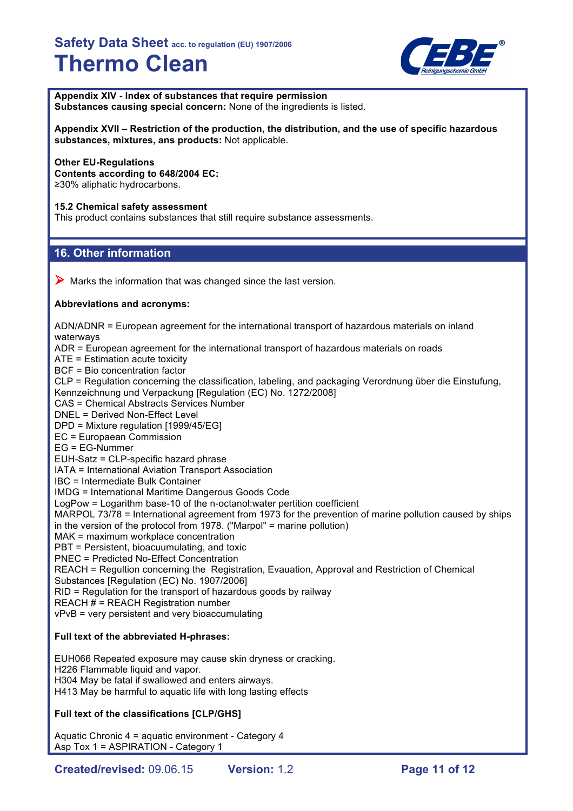

**Appendix XIV - Index of substances that require permission Substances causing special concern:** None of the ingredients is listed.

**Appendix XVII – Restriction of the production, the distribution, and the use of specific hazardous substances, mixtures, ans products:** Not applicable.

## **Other EU-Regulations**

**Contents according to 648/2004 EC:** ≥30% aliphatic hydrocarbons.

## **15.2 Chemical safety assessment**

This product contains substances that still require substance assessments.

## **16. Other information**

 $\triangleright$  Marks the information that was changed since the last version.

## **Abbreviations and acronyms:**

ADN/ADNR = European agreement for the international transport of hazardous materials on inland waterways ADR = European agreement for the international transport of hazardous materials on roads ATE = Estimation acute toxicity BCF = Bio concentration factor CLP = Regulation concerning the classification, labeling, and packaging Verordnung über die Einstufung, Kennzeichnung und Verpackung [Regulation (EC) No. 1272/2008] CAS = Chemical Abstracts Services Number DNEL = Derived Non-Effect Level DPD = Mixture regulation [1999/45/EG]

EC = Europaean Commission

EG = EG-Nummer

EUH-Satz = CLP-specific hazard phrase

IATA = International Aviation Transport Association

IBC = Intermediate Bulk Container

IMDG = International Maritime Dangerous Goods Code

LogPow = Logarithm base-10 of the n-octanol:water pertition coefficient

MARPOL 73/78 = International agreement from 1973 for the prevention of marine pollution caused by ships in the version of the protocol from 1978. ("Marpol" = marine pollution)

MAK = maximum workplace concentration

PBT = Persistent, bioacuumulating, and toxic

PNEC = Predicted No-Effect Concentration

REACH = Regultion concerning the Registration, Evauation, Approval and Restriction of Chemical Substances [Regulation (EC) No. 1907/2006]

RID = Regulation for the transport of hazardous goods by railway

REACH # = REACH Registration number

vPvB = very persistent and very bioaccumulating

## **Full text of the abbreviated H-phrases:**

EUH066 Repeated exposure may cause skin dryness or cracking. H226 Flammable liquid and vapor. H304 May be fatal if swallowed and enters airways. H413 May be harmful to aquatic life with long lasting effects

## **Full text of the classifications [CLP/GHS]**

Aquatic Chronic 4 = aquatic environment - Category 4 Asp Tox 1 = ASPIRATION - Category 1